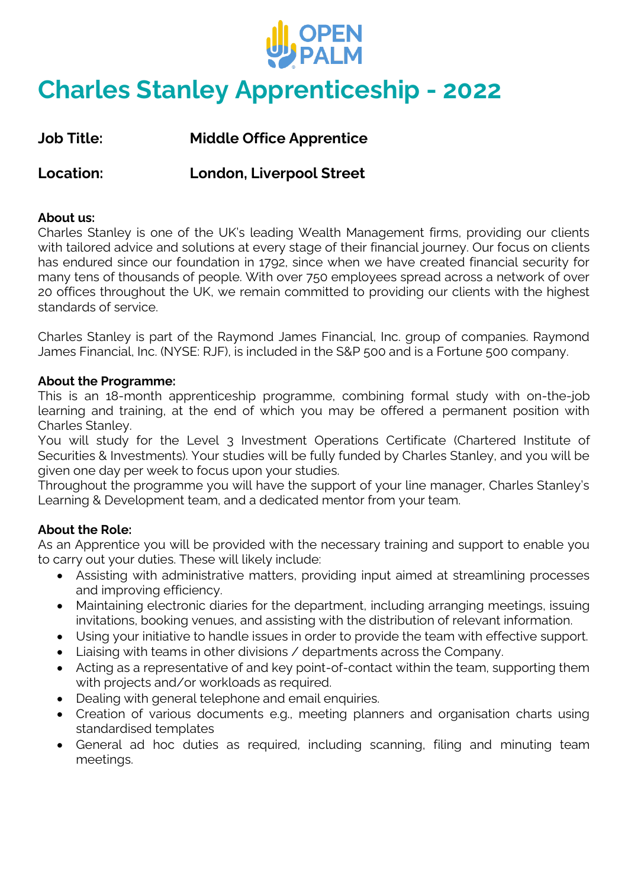

# **Charles Stanley Apprenticeship - 2022**

**Job Title: Middle Office Apprentice**

**Location: London, Liverpool Street**

## **About us:**

Charles Stanley is one of the UK's leading Wealth Management firms, providing our clients with tailored advice and solutions at every stage of their financial journey. Our focus on clients has endured since our foundation in 1792, since when we have created financial security for many tens of thousands of people. With over 750 employees spread across a network of over 20 offices throughout the UK, we remain committed to providing our clients with the highest standards of service.

Charles Stanley is part of the Raymond James Financial, Inc. group of companies. Raymond James Financial, Inc. (NYSE: RJF), is included in the S&P 500 and is a Fortune 500 company.

#### **About the Programme:**

This is an 18-month apprenticeship programme, combining formal study with on-the-job learning and training, at the end of which you may be offered a permanent position with Charles Stanley.

You will study for the Level 3 Investment Operations Certificate (Chartered Institute of Securities & Investments). Your studies will be fully funded by Charles Stanley, and you will be given one day per week to focus upon your studies.

Throughout the programme you will have the support of your line manager, Charles Stanley's Learning & Development team, and a dedicated mentor from your team.

## **About the Role:**

As an Apprentice you will be provided with the necessary training and support to enable you to carry out your duties. These will likely include:

- Assisting with administrative matters, providing input aimed at streamlining processes and improving efficiency.
- Maintaining electronic diaries for the department, including arranging meetings, issuing invitations, booking venues, and assisting with the distribution of relevant information.
- Using your initiative to handle issues in order to provide the team with effective support.
- Liaising with teams in other divisions / departments across the Company.
- Acting as a representative of and key point-of-contact within the team, supporting them with projects and/or workloads as required.
- Dealing with general telephone and email enquiries.
- Creation of various documents e.g., meeting planners and organisation charts using standardised templates
- General ad hoc duties as required, including scanning, filing and minuting team meetings.